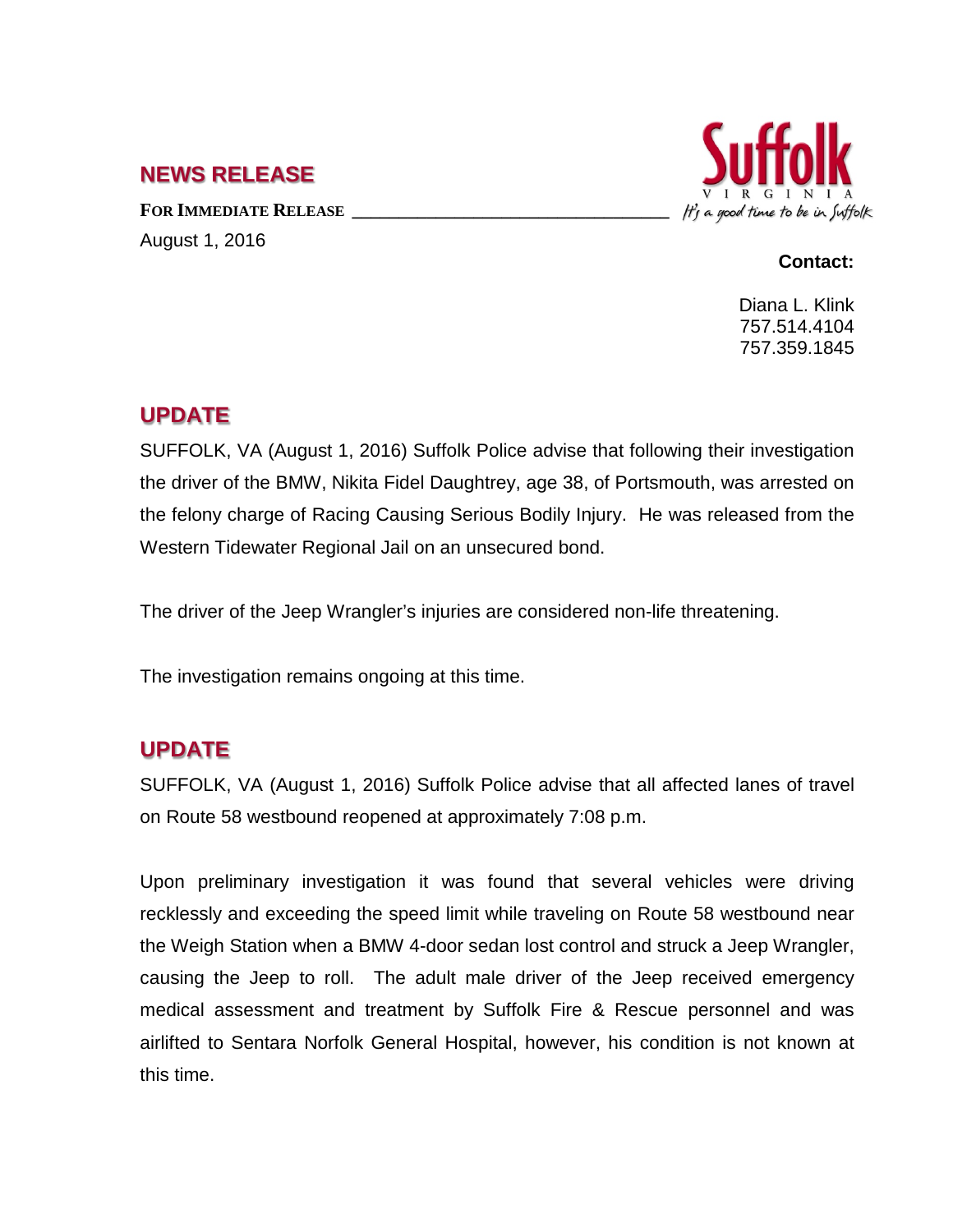### **NEWS RELEASE**

FOR **IMMEDIATE RELEASE** August 1, 2016



#### **Contact:**

Diana L. Klink 757.514.4104 757.359.1845

# **UPDATE**

SUFFOLK, VA (August 1, 2016) Suffolk Police advise that following their investigation the driver of the BMW, Nikita Fidel Daughtrey, age 38, of Portsmouth, was arrested on the felony charge of Racing Causing Serious Bodily Injury. He was released from the Western Tidewater Regional Jail on an unsecured bond.

The driver of the Jeep Wrangler's injuries are considered non-life threatening.

The investigation remains ongoing at this time.

# **UPDATE**

SUFFOLK, VA (August 1, 2016) Suffolk Police advise that all affected lanes of travel on Route 58 westbound reopened at approximately 7:08 p.m.

Upon preliminary investigation it was found that several vehicles were driving recklessly and exceeding the speed limit while traveling on Route 58 westbound near the Weigh Station when a BMW 4-door sedan lost control and struck a Jeep Wrangler, causing the Jeep to roll. The adult male driver of the Jeep received emergency medical assessment and treatment by Suffolk Fire & Rescue personnel and was airlifted to Sentara Norfolk General Hospital, however, his condition is not known at this time.